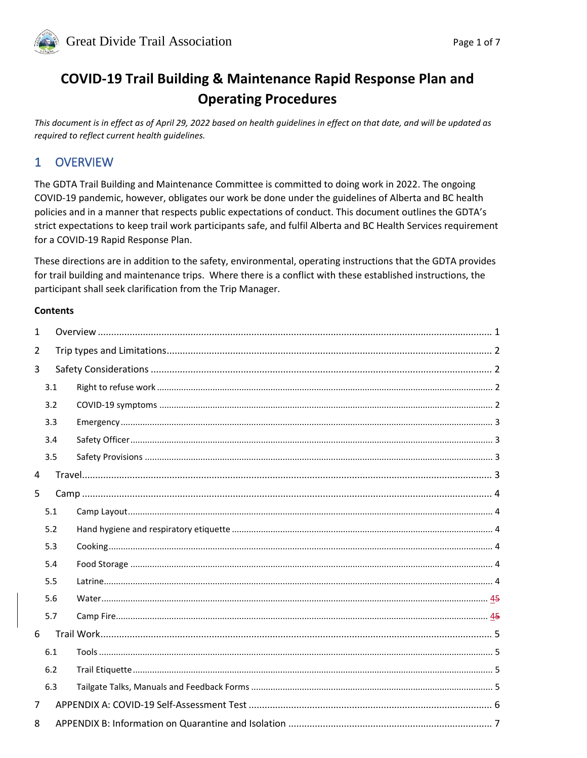

# **COVID-19 Trail Building & Maintenance Rapid Response Plan and Operating Procedures**

This document is in effect as of April 29, 2022 based on health guidelines in effect on that date, and will be updated as required to reflect current health guidelines.

#### <span id="page-0-0"></span>**OVERVIEW**  $\mathbf{1}$

The GDTA Trail Building and Maintenance Committee is committed to doing work in 2022. The ongoing COVID-19 pandemic, however, obligates our work be done under the guidelines of Alberta and BC health policies and in a manner that respects public expectations of conduct. This document outlines the GDTA's strict expectations to keep trail work participants safe, and fulfil Alberta and BC Health Services requirement for a COVID-19 Rapid Response Plan.

These directions are in addition to the safety, environmental, operating instructions that the GDTA provides for trail building and maintenance trips. Where there is a conflict with these established instructions, the participant shall seek clarification from the Trip Manager.

#### **Contents**

<span id="page-0-1"></span>

| $\mathbf{1}$   |     |  |  |  |  |
|----------------|-----|--|--|--|--|
| 2              |     |  |  |  |  |
| 3              |     |  |  |  |  |
|                | 3.1 |  |  |  |  |
|                | 3.2 |  |  |  |  |
|                | 3.3 |  |  |  |  |
|                | 3.4 |  |  |  |  |
|                | 3.5 |  |  |  |  |
| $\overline{4}$ |     |  |  |  |  |
| 5              |     |  |  |  |  |
|                | 5.1 |  |  |  |  |
|                | 5.2 |  |  |  |  |
|                | 5.3 |  |  |  |  |
|                | 5.4 |  |  |  |  |
|                | 5.5 |  |  |  |  |
|                | 5.6 |  |  |  |  |
|                | 5.7 |  |  |  |  |
| 6              |     |  |  |  |  |
|                | 6.1 |  |  |  |  |
|                | 6.2 |  |  |  |  |
|                | 6.3 |  |  |  |  |
| 7              |     |  |  |  |  |
| 8              |     |  |  |  |  |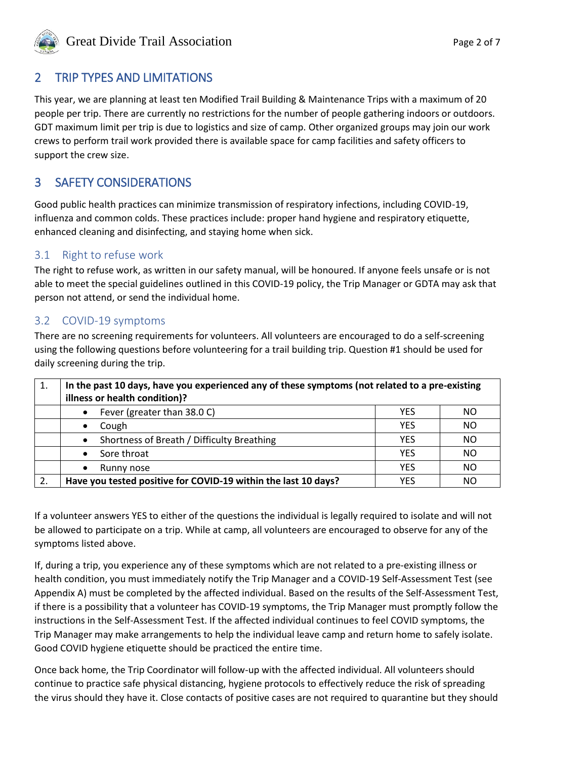

# 2 TRIP TYPES AND LIMITATIONS

This year, we are planning at least ten Modified Trail Building & Maintenance Trips with a maximum of 20 people per trip. There are currently no restrictions for the number of people gathering indoors or outdoors. GDT maximum limit per trip is due to logistics and size of camp. Other organized groups may join our work crews to perform trail work provided there is available space for camp facilities and safety officers to support the crew size.

# <span id="page-1-0"></span>3 SAFETY CONSIDERATIONS

Good public health practices can minimize transmission of respiratory infections, including COVID-19, influenza and common colds. These practices include: proper hand hygiene and respiratory etiquette, enhanced cleaning and disinfecting, and staying home when sick.

#### <span id="page-1-1"></span>3.1 Right to refuse work

The right to refuse work, as written in our safety manual, will be honoured. If anyone feels unsafe or is not able to meet the special guidelines outlined in this COVID-19 policy, the Trip Manager or GDTA may ask that person not attend, or send the individual home.

#### <span id="page-1-2"></span>3.2 COVID-19 symptoms

There are no screening requirements for volunteers. All volunteers are encouraged to do a self-screening using the following questions before volunteering for a trail building trip. Question #1 should be used for daily screening during the trip.

| 1. | In the past 10 days, have you experienced any of these symptoms (not related to a pre-existing<br>illness or health condition)? |            |           |  |
|----|---------------------------------------------------------------------------------------------------------------------------------|------------|-----------|--|
|    | Fever (greater than 38.0 C)<br>٠                                                                                                | <b>YES</b> | ΝO        |  |
|    | Cough<br>$\bullet$                                                                                                              | <b>YES</b> | NO        |  |
|    | Shortness of Breath / Difficulty Breathing<br>$\bullet$                                                                         | <b>YES</b> | ΝO        |  |
|    | Sore throat<br>$\bullet$                                                                                                        | <b>YES</b> | ΝO        |  |
|    | Runny nose<br>$\bullet$                                                                                                         | <b>YES</b> | <b>NO</b> |  |
| 2. | Have you tested positive for COVID-19 within the last 10 days?                                                                  |            | NΟ        |  |

If a volunteer answers YES to either of the questions the individual is legally required to isolate and will not be allowed to participate on a trip. While at camp, all volunteers are encouraged to observe for any of the symptoms listed above.

If, during a trip, you experience any of these symptoms which are not related to a pre-existing illness or health condition, you must immediately notify the Trip Manager and a COVID-19 Self-Assessment Test (see Appendix A) must be completed by the affected individual. Based on the results of the Self-Assessment Test, if there is a possibility that a volunteer has COVID-19 symptoms, the Trip Manager must promptly follow the instructions in the Self-Assessment Test. If the affected individual continues to feel COVID symptoms, the Trip Manager may make arrangements to help the individual leave camp and return home to safely isolate. Good COVID hygiene etiquette should be practiced the entire time.

Once back home, the Trip Coordinator will follow-up with the affected individual. All volunteers should continue to practice safe physical distancing, hygiene protocols to effectively reduce the risk of spreading the virus should they have it. Close contacts of positive cases are not required to quarantine but they should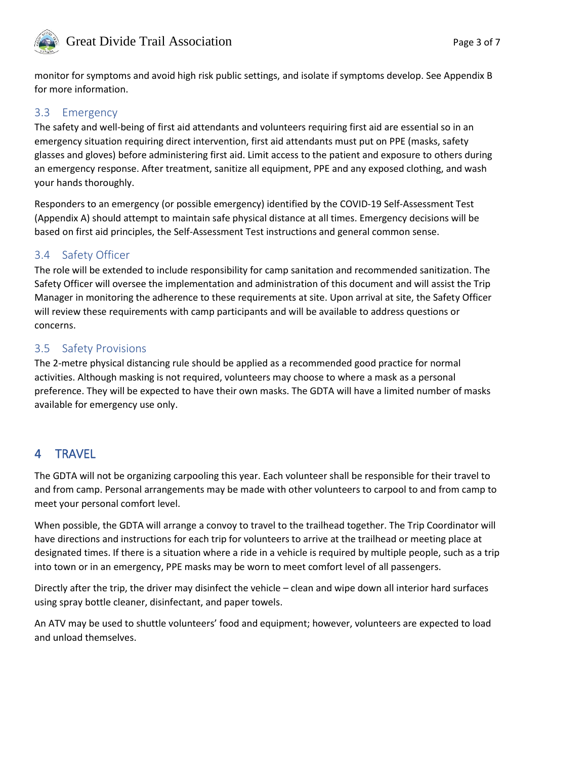

# Great Divide Trail Association **Page 3 of 7**

monitor for symptoms and avoid high risk public settings, and isolate if symptoms develop. See Appendix B for more information.

#### <span id="page-2-0"></span>3.3 Emergency

The safety and well-being of first aid attendants and volunteers requiring first aid are essential so in an emergency situation requiring direct intervention, first aid attendants must put on PPE (masks, safety glasses and gloves) before administering first aid. Limit access to the patient and exposure to others during an emergency response. After treatment, sanitize all equipment, PPE and any exposed clothing, and wash your hands thoroughly.

Responders to an emergency (or possible emergency) identified by the COVID-19 Self-Assessment Test (Appendix A) should attempt to maintain safe physical distance at all times. Emergency decisions will be based on first aid principles, the Self-Assessment Test instructions and general common sense.

#### <span id="page-2-1"></span>3.4 Safety Officer

The role will be extended to include responsibility for camp sanitation and recommended sanitization. The Safety Officer will oversee the implementation and administration of this document and will assist the Trip Manager in monitoring the adherence to these requirements at site. Upon arrival at site, the Safety Officer will review these requirements with camp participants and will be available to address questions or concerns.

#### <span id="page-2-2"></span>3.5 Safety Provisions

The 2-metre physical distancing rule should be applied as a recommended good practice for normal activities. Although masking is not required, volunteers may choose to where a mask as a personal preference. They will be expected to have their own masks. The GDTA will have a limited number of masks available for emergency use only.

# <span id="page-2-3"></span>4 TRAVEL

The GDTA will not be organizing carpooling this year. Each volunteer shall be responsible for their travel to and from camp. Personal arrangements may be made with other volunteers to carpool to and from camp to meet your personal comfort level.

When possible, the GDTA will arrange a convoy to travel to the trailhead together. The Trip Coordinator will have directions and instructions for each trip for volunteers to arrive at the trailhead or meeting place at designated times. If there is a situation where a ride in a vehicle is required by multiple people, such as a trip into town or in an emergency, PPE masks may be worn to meet comfort level of all passengers.

Directly after the trip, the driver may disinfect the vehicle – clean and wipe down all interior hard surfaces using spray bottle cleaner, disinfectant, and paper towels.

An ATV may be used to shuttle volunteers' food and equipment; however, volunteers are expected to load and unload themselves.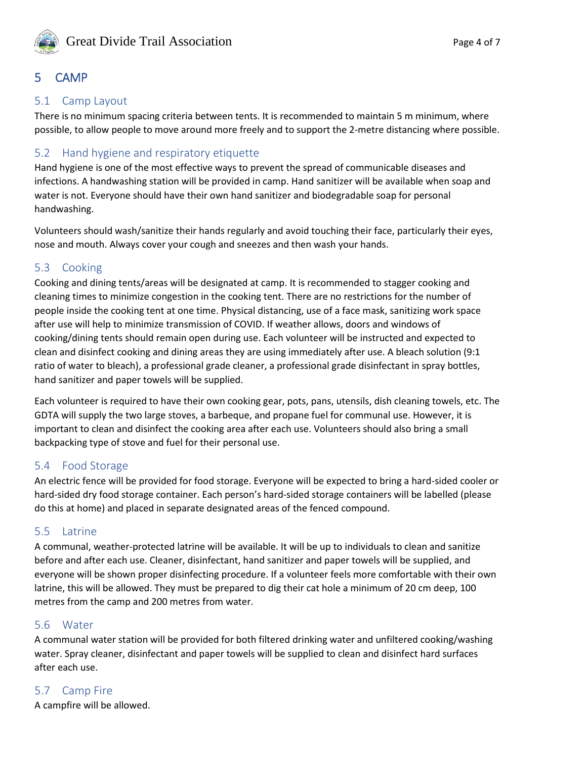

# <span id="page-3-0"></span>5 CAMP

#### <span id="page-3-1"></span>5.1 Camp Layout

There is no minimum spacing criteria between tents. It is recommended to maintain 5 m minimum, where possible, to allow people to move around more freely and to support the 2-metre distancing where possible.

### <span id="page-3-2"></span>5.2 Hand hygiene and respiratory etiquette

Hand hygiene is one of the most effective ways to prevent the spread of communicable diseases and infections. A handwashing station will be provided in camp. Hand sanitizer will be available when soap and water is not. Everyone should have their own hand sanitizer and biodegradable soap for personal handwashing.

Volunteers should wash/sanitize their hands regularly and avoid touching their face, particularly their eyes, nose and mouth. Always cover your cough and sneezes and then wash your hands.

#### <span id="page-3-3"></span>5.3 Cooking

Cooking and dining tents/areas will be designated at camp. It is recommended to stagger cooking and cleaning times to minimize congestion in the cooking tent. There are no restrictions for the number of people inside the cooking tent at one time. Physical distancing, use of a face mask, sanitizing work space after use will help to minimize transmission of COVID. If weather allows, doors and windows of cooking/dining tents should remain open during use. Each volunteer will be instructed and expected to clean and disinfect cooking and dining areas they are using immediately after use. A bleach solution (9:1 ratio of water to bleach), a professional grade cleaner, a professional grade disinfectant in spray bottles, hand sanitizer and paper towels will be supplied.

Each volunteer is required to have their own cooking gear, pots, pans, utensils, dish cleaning towels, etc. The GDTA will supply the two large stoves, a barbeque, and propane fuel for communal use. However, it is important to clean and disinfect the cooking area after each use. Volunteers should also bring a small backpacking type of stove and fuel for their personal use.

#### <span id="page-3-4"></span>5.4 Food Storage

An electric fence will be provided for food storage. Everyone will be expected to bring a hard-sided cooler or hard-sided dry food storage container. Each person's hard-sided storage containers will be labelled (please do this at home) and placed in separate designated areas of the fenced compound.

#### <span id="page-3-5"></span>5.5 Latrine

A communal, weather-protected latrine will be available. It will be up to individuals to clean and sanitize before and after each use. Cleaner, disinfectant, hand sanitizer and paper towels will be supplied, and everyone will be shown proper disinfecting procedure. If a volunteer feels more comfortable with their own latrine, this will be allowed. They must be prepared to dig their cat hole a minimum of 20 cm deep, 100 metres from the camp and 200 metres from water.

#### <span id="page-3-6"></span>5.6 Water

A communal water station will be provided for both filtered drinking water and unfiltered cooking/washing water. Spray cleaner, disinfectant and paper towels will be supplied to clean and disinfect hard surfaces after each use.

## <span id="page-3-7"></span>5.7 Camp Fire

A campfire will be allowed.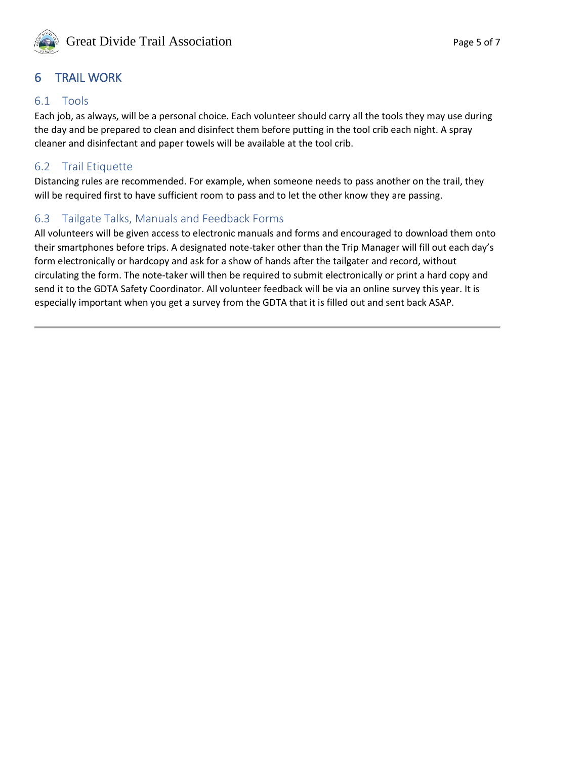

# <span id="page-4-0"></span>6 TRAIL WORK

#### <span id="page-4-1"></span>6.1 Tools

Each job, as always, will be a personal choice. Each volunteer should carry all the tools they may use during the day and be prepared to clean and disinfect them before putting in the tool crib each night. A spray cleaner and disinfectant and paper towels will be available at the tool crib.

#### <span id="page-4-2"></span>6.2 Trail Etiquette

Distancing rules are recommended. For example, when someone needs to pass another on the trail, they will be required first to have sufficient room to pass and to let the other know they are passing.

#### <span id="page-4-3"></span>6.3 Tailgate Talks, Manuals and Feedback Forms

All volunteers will be given access to electronic manuals and forms and encouraged to download them onto their smartphones before trips. A designated note-taker other than the Trip Manager will fill out each day's form electronically or hardcopy and ask for a show of hands after the tailgater and record, without circulating the form. The note-taker will then be required to submit electronically or print a hard copy and send it to the GDTA Safety Coordinator. All volunteer feedback will be via an online survey this year. It is especially important when you get a survey from the GDTA that it is filled out and sent back ASAP.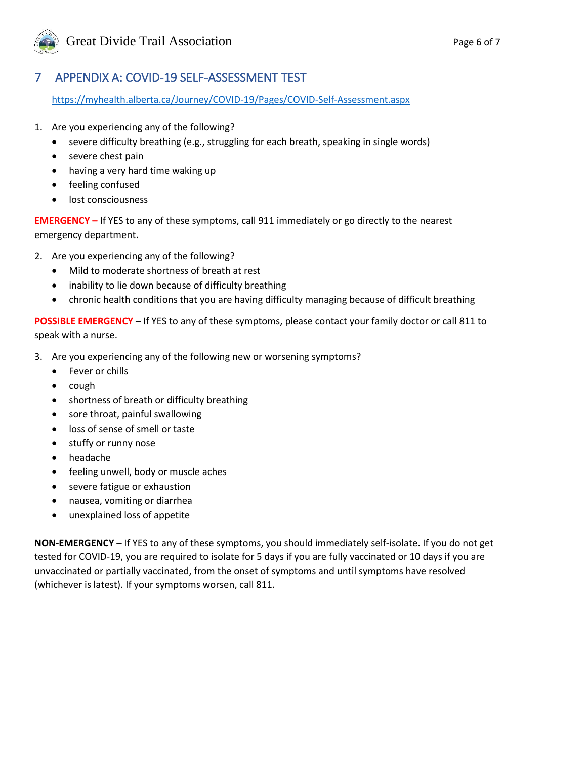

# <span id="page-5-0"></span>7 APPENDIX A: COVID-19 SELF-ASSESSMENT TEST

<https://myhealth.alberta.ca/Journey/COVID-19/Pages/COVID-Self-Assessment.aspx>

- 1. Are you experiencing any of the following?
	- severe difficulty breathing (e.g., struggling for each breath, speaking in single words)
	- severe chest pain
	- having a very hard time waking up
	- feeling confused
	- lost consciousness

**EMERGENCY –** If YES to any of these symptoms, call 911 immediately or go directly to the nearest emergency department.

- 2. Are you experiencing any of the following?
	- Mild to moderate shortness of breath at rest
	- inability to lie down because of difficulty breathing
	- chronic health conditions that you are having difficulty managing because of difficult breathing

**POSSIBLE EMERGENCY** – If YES to any of these symptoms, please contact your family doctor or call 811 to speak with a nurse.

- 3. Are you experiencing any of the following new or worsening symptoms?
	- Fever or chills
	- $\bullet$  cough
	- shortness of breath or difficulty breathing
	- sore throat, painful swallowing
	- loss of sense of smell or taste
	- stuffy or runny nose
	- headache
	- feeling unwell, body or muscle aches
	- severe fatigue or exhaustion
	- nausea, vomiting or diarrhea
	- unexplained loss of appetite

**NON-EMERGENCY** – If YES to any of these symptoms, you should immediately self-isolate. If you do not get tested for COVID-19, you are required to isolate for 5 days if you are fully vaccinated or 10 days if you are unvaccinated or partially vaccinated, from the onset of symptoms and until symptoms have resolved (whichever is latest). If your symptoms worsen, call 811.